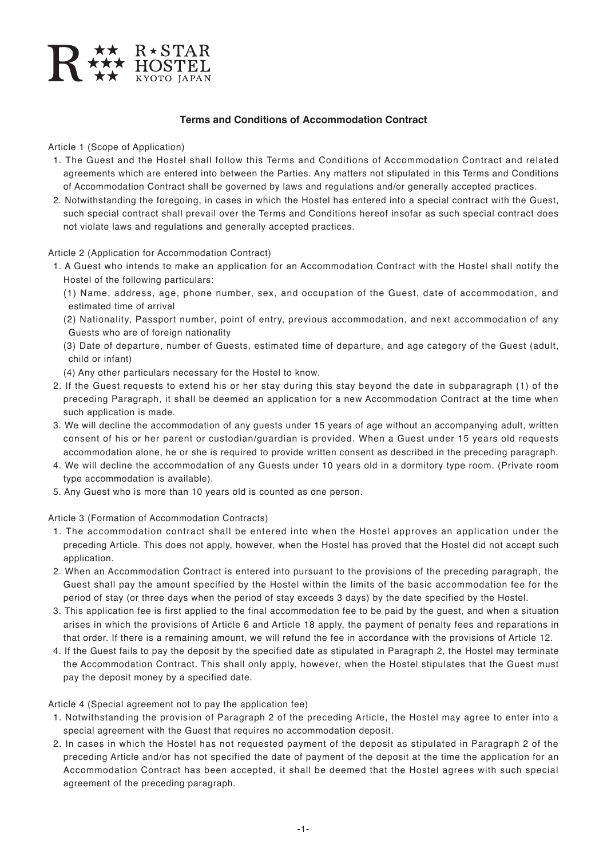

Article 1 (Scope of Application)

- 1. The Guest and the Hostel shall follow this Terms and Conditions of Accommodation Contract and related agreements which are entered into between the Parties. Any matters not stipulated in this Terms and Conditions of Accommodation Contract shall be governed by laws and regulations and/or generally accepted practices.
- 2. Notwithstanding the foregoing, in cases in which the Hostel has entered into a special contract with the Guest, such special contract shall prevail over the Terms and Conditions hereof insofar as such special contract does not violate laws and regulations and generally accepted practices.

Article 2 (Application for Accommodation Contract)

- 1. A Guest who intends to make an application for an Accommodation Contract with the Hostel shall notify the Hostel of the following particulars:
	- (1) Name, address, age, phone number, sex, and occupation of the Guest, date of accommodation, and estimated time of arrival
	- (2) Nationality, Passport number, point of entry, previous accommodation, and next accommodation of any Guests who are of foreign nationality
	- (3) Date of departure, number of Guests, estimated time of departure, and age category of the Guest (adult, child or infant)

(4) Any other particulars necessary for the Hostel to know.

- 2. If the Guest requests to extend his or her stay during this stay beyond the date in subparagraph (1) of the preceding Paragraph, it shall be deemed an application for a new Accommodation Contract at the time when such application is made.
- 3. We will decline the accommodation of any guests under 15 years of age without an accompanying adult, written consent of his or her parent or custodian/guardian is provided. When a Guest under 15 years old requests accommodation alone, he or she is required to provide written consent as described in the preceding paragraph.
- 4. We will decline the accommodation of any Guests under 10 years old in a dormitory type room. (Private room type accommodation is available).
- 5. Any Guest who is more than 10 years old is counted as one person.

Article 3 (Formation of Accommodation Contracts)

- 1. The accommodation contract shall be entered into when the Hostel approves an application under the preceding Article. This does not apply, however, when the Hostel has proved that the Hostel did not accept such application.
- 2. When an Accommodation Contract is entered into pursuant to the provisions of the preceding paragraph, the Guest shall pay the amount specified by the Hostel within the limits of the basic accommodation fee for the period of stay (or three days when the period of stay exceeds 3 days) by the date specified by the Hostel.
- 3. This application fee is first applied to the final accommodation fee to be paid by the guest, and when a situation arises in which the provisions of Article 6 and Article 18 apply, the payment of penalty fees and reparations in that order. If there is a remaining amount, we will refund the fee in accordance with the provisions of Article 12.
- 4. If the Guest fails to pay the deposit by the specified date as stipulated in Paragraph 2, the Hostel may terminate the Accommodation Contract. This shall only apply, however, when the Hostel stipulates that the Guest must pay the deposit money by a specified date.

Article 4 (Special agreement not to pay the application fee)

- 1. Notwithstanding the provision of Paragraph 2 of the preceding Article, the Hostel may agree to enter into a special agreement with the Guest that requires no accommodation deposit.
- 2. In cases in which the Hostel has not requested payment of the deposit as stipulated in Paragraph 2 of the preceding Article and/or has not specified the date of payment of the deposit at the time the application for an Accommodation Contract has been accepted, it shall be deemed that the Hostel agrees with such special agreement of the preceding paragraph.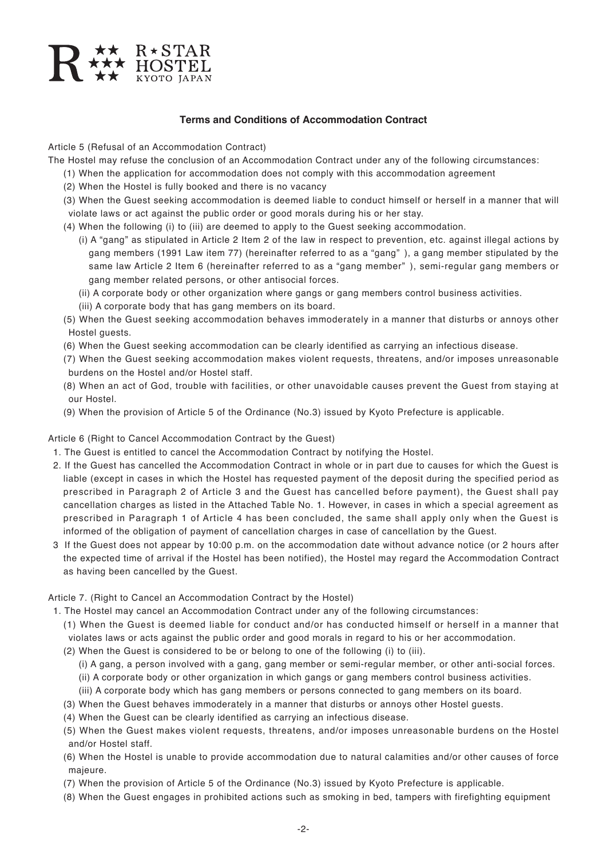

Article 5 (Refusal of an Accommodation Contract)

The Hostel may refuse the conclusion of an Accommodation Contract under any of the following circumstances:

- (1) When the application for accommodation does not comply with this accommodation agreement
- (2) When the Hostel is fully booked and there is no vacancy
- (3) When the Guest seeking accommodation is deemed liable to conduct himself or herself in a manner that will violate laws or act against the public order or good morals during his or her stay.
- (4) When the following (i) to (iii) are deemed to apply to the Guest seeking accommodation.
	- (i) A "gang" as stipulated in Article 2 Item 2 of the law in respect to prevention, etc. against illegal actions by gang members (1991 Law item 77) (hereinafter referred to as a "gang" ), a gang member stipulated by the same law Article 2 Item 6 (hereinafter referred to as a "gang member" ), semi-regular gang members or gang member related persons, or other antisocial forces.
	- (ii) A corporate body or other organization where gangs or gang members control business activities.
	- (iii) A corporate body that has gang members on its board.
- (5) When the Guest seeking accommodation behaves immoderately in a manner that disturbs or annoys other Hostel guests.
- (6) When the Guest seeking accommodation can be clearly identified as carrying an infectious disease.
- (7) When the Guest seeking accommodation makes violent requests, threatens, and/or imposes unreasonable burdens on the Hostel and/or Hostel staff.
- (8) When an act of God, trouble with facilities, or other unavoidable causes prevent the Guest from staying at our Hostel.
- (9) When the provision of Article 5 of the Ordinance (No.3) issued by Kyoto Prefecture is applicable.

#### Article 6 (Right to Cancel Accommodation Contract by the Guest)

- 1. The Guest is entitled to cancel the Accommodation Contract by notifying the Hostel.
- 2. If the Guest has cancelled the Accommodation Contract in whole or in part due to causes for which the Guest is liable (except in cases in which the Hostel has requested payment of the deposit during the specified period as prescribed in Paragraph 2 of Article 3 and the Guest has cancelled before payment), the Guest shall pay cancellation charges as listed in the Attached Table No. 1. However, in cases in which a special agreement as prescribed in Paragraph 1 of Article 4 has been concluded, the same shall apply only when the Guest is informed of the obligation of payment of cancellation charges in case of cancellation by the Guest.
- 3 If the Guest does not appear by 10:00 p.m. on the accommodation date without advance notice (or 2 hours after the expected time of arrival if the Hostel has been notified), the Hostel may regard the Accommodation Contract as having been cancelled by the Guest.

Article 7. (Right to Cancel an Accommodation Contract by the Hostel)

- 1. The Hostel may cancel an Accommodation Contract under any of the following circumstances:
	- (1) When the Guest is deemed liable for conduct and/or has conducted himself or herself in a manner that violates laws or acts against the public order and good morals in regard to his or her accommodation.
	- (2) When the Guest is considered to be or belong to one of the following (i) to (iii).
		- (i) A gang, a person involved with a gang, gang member or semi-regular member, or other anti-social forces. (ii) A corporate body or other organization in which gangs or gang members control business activities.
		- (iii) A corporate body which has gang members or persons connected to gang members on its board.
	- (3) When the Guest behaves immoderately in a manner that disturbs or annoys other Hostel guests.
	- (4) When the Guest can be clearly identified as carrying an infectious disease.
	- (5) When the Guest makes violent requests, threatens, and/or imposes unreasonable burdens on the Hostel and/or Hostel staff.
	- (6) When the Hostel is unable to provide accommodation due to natural calamities and/or other causes of force majeure.
	- (7) When the provision of Article 5 of the Ordinance (No.3) issued by Kyoto Prefecture is applicable.
	- (8) When the Guest engages in prohibited actions such as smoking in bed, tampers with firefighting equipment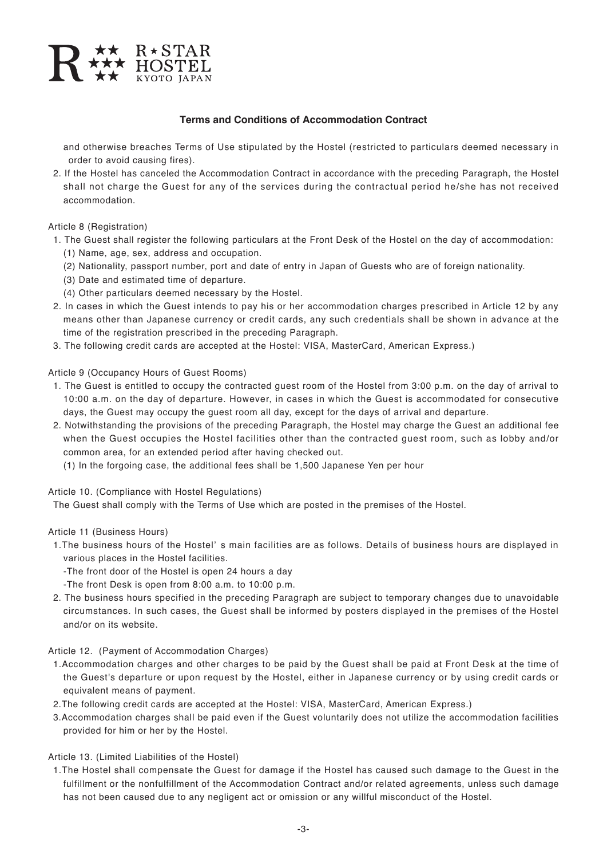

and otherwise breaches Terms of Use stipulated by the Hostel (restricted to particulars deemed necessary in order to avoid causing fires).

2. If the Hostel has canceled the Accommodation Contract in accordance with the preceding Paragraph, the Hostel shall not charge the Guest for any of the services during the contractual period he/she has not received accommodation.

Article 8 (Registration)

- 1. The Guest shall register the following particulars at the Front Desk of the Hostel on the day of accommodation: (1) Name, age, sex, address and occupation.
	- (2) Nationality, passport number, port and date of entry in Japan of Guests who are of foreign nationality.
	- (3) Date and estimated time of departure.
	- (4) Other particulars deemed necessary by the Hostel.
- 2. In cases in which the Guest intends to pay his or her accommodation charges prescribed in Article 12 by any means other than Japanese currency or credit cards, any such credentials shall be shown in advance at the time of the registration prescribed in the preceding Paragraph.
- 3. The following credit cards are accepted at the Hostel: VISA, MasterCard, American Express.)

Article 9 (Occupancy Hours of Guest Rooms)

- 1. The Guest is entitled to occupy the contracted guest room of the Hostel from 3:00 p.m. on the day of arrival to 10:00 a.m. on the day of departure. However, in cases in which the Guest is accommodated for consecutive days, the Guest may occupy the guest room all day, except for the days of arrival and departure.
- 2. Notwithstanding the provisions of the preceding Paragraph, the Hostel may charge the Guest an additional fee when the Guest occupies the Hostel facilities other than the contracted guest room, such as lobby and/or common area, for an extended period after having checked out.
	- (1) In the forgoing case, the additional fees shall be 1,500 Japanese Yen per hour

Article 10. (Compliance with Hostel Regulations)

The Guest shall comply with the Terms of Use which are posted in the premises of the Hostel.

Article 11 (Business Hours)

- 1.The business hours of the Hostel' s main facilities are as follows. Details of business hours are displayed in various places in the Hostel facilities.
	- -The front door of the Hostel is open 24 hours a day
	- -The front Desk is open from 8:00 a.m. to 10:00 p.m.
- 2. The business hours specified in the preceding Paragraph are subject to temporary changes due to unavoidable circumstances. In such cases, the Guest shall be informed by posters displayed in the premises of the Hostel and/or on its website.

#### Article 12. (Payment of Accommodation Charges)

- 1.Accommodation charges and other charges to be paid by the Guest shall be paid at Front Desk at the time of the Guest's departure or upon request by the Hostel, either in Japanese currency or by using credit cards or equivalent means of payment.
- 2.The following credit cards are accepted at the Hostel: VISA, MasterCard, American Express.)
- 3.Accommodation charges shall be paid even if the Guest voluntarily does not utilize the accommodation facilities provided for him or her by the Hostel.

### Article 13. (Limited Liabilities of the Hostel)

1.The Hostel shall compensate the Guest for damage if the Hostel has caused such damage to the Guest in the fulfillment or the nonfulfillment of the Accommodation Contract and/or related agreements, unless such damage has not been caused due to any negligent act or omission or any willful misconduct of the Hostel.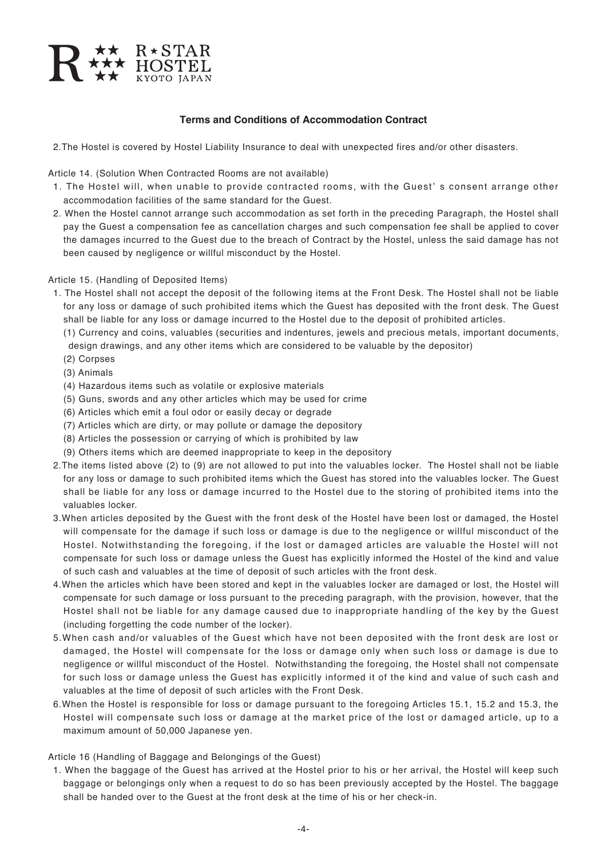

2.The Hostel is covered by Hostel Liability Insurance to deal with unexpected fires and/or other disasters.

Article 14. (Solution When Contracted Rooms are not available)

- 1. The Hostel will, when unable to provide contracted rooms, with the Guest' s consent arrange other accommodation facilities of the same standard for the Guest.
- 2. When the Hostel cannot arrange such accommodation as set forth in the preceding Paragraph, the Hostel shall pay the Guest a compensation fee as cancellation charges and such compensation fee shall be applied to cover the damages incurred to the Guest due to the breach of Contract by the Hostel, unless the said damage has not been caused by negligence or willful misconduct by the Hostel.

#### Article 15. (Handling of Deposited Items)

1. The Hostel shall not accept the deposit of the following items at the Front Desk. The Hostel shall not be liable for any loss or damage of such prohibited items which the Guest has deposited with the front desk. The Guest shall be liable for any loss or damage incurred to the Hostel due to the deposit of prohibited articles.

(1) Currency and coins, valuables (securities and indentures, jewels and precious metals, important documents, design drawings, and any other items which are considered to be valuable by the depositor)

- (2) Corpses
- (3) Animals
- (4) Hazardous items such as volatile or explosive materials
- (5) Guns, swords and any other articles which may be used for crime
- (6) Articles which emit a foul odor or easily decay or degrade
- (7) Articles which are dirty, or may pollute or damage the depository
- (8) Articles the possession or carrying of which is prohibited by law
- (9) Others items which are deemed inappropriate to keep in the depository
- 2.The items listed above (2) to (9) are not allowed to put into the valuables locker. The Hostel shall not be liable for any loss or damage to such prohibited items which the Guest has stored into the valuables locker. The Guest shall be liable for any loss or damage incurred to the Hostel due to the storing of prohibited items into the valuables locker.
- 3.When articles deposited by the Guest with the front desk of the Hostel have been lost or damaged, the Hostel will compensate for the damage if such loss or damage is due to the negligence or willful misconduct of the Hostel. Notwithstanding the foregoing, if the lost or damaged articles are valuable the Hostel will not compensate for such loss or damage unless the Guest has explicitly informed the Hostel of the kind and value of such cash and valuables at the time of deposit of such articles with the front desk.
- 4.When the articles which have been stored and kept in the valuables locker are damaged or lost, the Hostel will compensate for such damage or loss pursuant to the preceding paragraph, with the provision, however, that the Hostel shall not be liable for any damage caused due to inappropriate handling of the key by the Guest (including forgetting the code number of the locker).
- 5.When cash and/or valuables of the Guest which have not been deposited with the front desk are lost or damaged, the Hostel will compensate for the loss or damage only when such loss or damage is due to negligence or willful misconduct of the Hostel. Notwithstanding the foregoing, the Hostel shall not compensate for such loss or damage unless the Guest has explicitly informed it of the kind and value of such cash and valuables at the time of deposit of such articles with the Front Desk.
- 6.When the Hostel is responsible for loss or damage pursuant to the foregoing Articles 15.1, 15.2 and 15.3, the Hostel will compensate such loss or damage at the market price of the lost or damaged article, up to a maximum amount of 50,000 Japanese yen.

### Article 16 (Handling of Baggage and Belongings of the Guest)

1. When the baggage of the Guest has arrived at the Hostel prior to his or her arrival, the Hostel will keep such baggage or belongings only when a request to do so has been previously accepted by the Hostel. The baggage shall be handed over to the Guest at the front desk at the time of his or her check-in.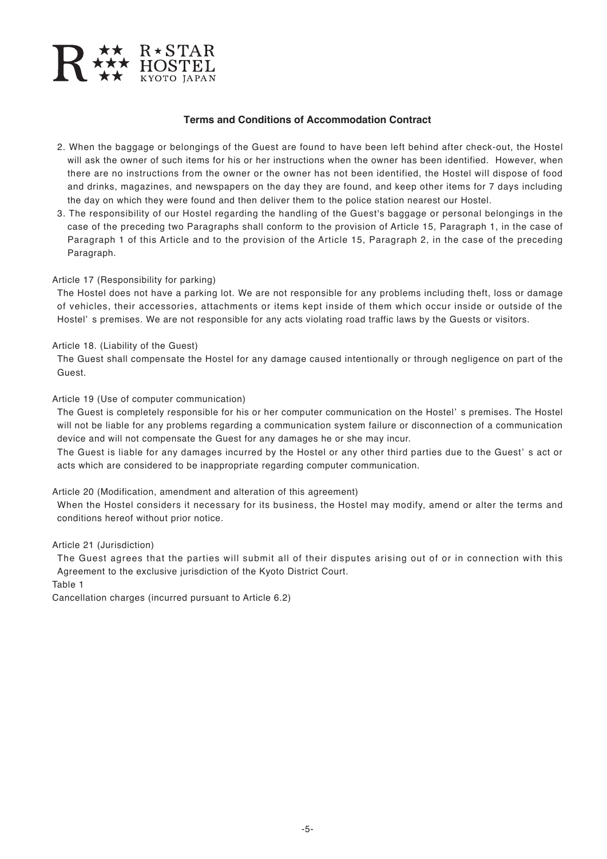

- 2. When the baggage or belongings of the Guest are found to have been left behind after check-out, the Hostel will ask the owner of such items for his or her instructions when the owner has been identified. However, when there are no instructions from the owner or the owner has not been identified, the Hostel will dispose of food and drinks, magazines, and newspapers on the day they are found, and keep other items for 7 days including the day on which they were found and then deliver them to the police station nearest our Hostel.
- 3. The responsibility of our Hostel regarding the handling of the Guest's baggage or personal belongings in the case of the preceding two Paragraphs shall conform to the provision of Article 15, Paragraph 1, in the case of Paragraph 1 of this Article and to the provision of the Article 15, Paragraph 2, in the case of the preceding Paragraph.

#### Article 17 (Responsibility for parking)

The Hostel does not have a parking lot. We are not responsible for any problems including theft, loss or damage of vehicles, their accessories, attachments or items kept inside of them which occur inside or outside of the Hostel' s premises. We are not responsible for any acts violating road traffic laws by the Guests or visitors.

#### Article 18. (Liability of the Guest)

The Guest shall compensate the Hostel for any damage caused intentionally or through negligence on part of the Guest.

#### Article 19 (Use of computer communication)

The Guest is completely responsible for his or her computer communication on the Hostel' s premises. The Hostel will not be liable for any problems regarding a communication system failure or disconnection of a communication device and will not compensate the Guest for any damages he or she may incur.

The Guest is liable for any damages incurred by the Hostel or any other third parties due to the Guest' s act or acts which are considered to be inappropriate regarding computer communication.

#### Article 20 (Modification, amendment and alteration of this agreement)

When the Hostel considers it necessary for its business, the Hostel may modify, amend or alter the terms and conditions hereof without prior notice.

#### Article 21 (Jurisdiction)

The Guest agrees that the parties will submit all of their disputes arising out of or in connection with this Agreement to the exclusive jurisdiction of the Kyoto District Court.

Table 1

Cancellation charges (incurred pursuant to Article 6.2)